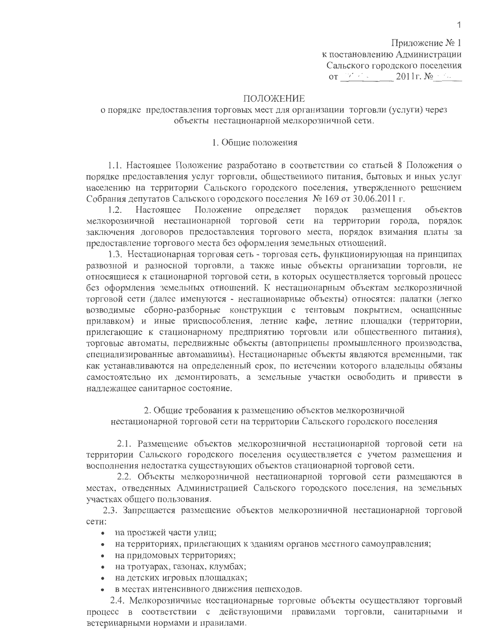Приложение № 1 к постановлению Администрации Сальского городского поселения  $\overline{OT}$  and  $\overline{OT}$  and  $\overline{OT}$  and  $\overline{OT}$  $2011r$ . No

## ПОЛОЖЕНИЕ

# о порядке предоставления торговых мест для организации торговли (услуги) через объекты нестационарной мелкорозничной сети.

# 1. Общие положения

1.1. Настоящее Положение разработано в соответствии со статьей 8 Положения о порядке предоставления услуг торговли, общественного питания, бытовых и иных услуг населению на территории Сальского городского поселения, утвержденного решением Собрания депутатов Сальского городского поселения № 169 от 30.06.2011 г.

Настояшее Положение определяет порядок размещения объектов  $1.2.$ мелкорозничной нестационарной торговой сети на территории города, порядок заключения договоров предоставления торгового места, порядок взимания платы за предоставление торгового места без оформления земельных отношений.

1.3. Нестационарная торговая сеть - торговая сеть, функционирующая на принципах развозной и разносной торговли, а также иные объекты организации торговли, не относящиеся к стационарной торговой сети, в которых осуществляется торговый процесс без оформления земельных отношений. К нестационарным объектам мелкорозничной торговой сети (далее именуются - нестационарные объекты) относятся: палатки (легко возводимые сборно-разборные конструкции с тентовым покрытием, оснащенные прилавком) и иные приспособления, летние кафе, летние площадки (территории, прилегающие к стационарному предприятию торговли или общественного питания), торговые автоматы, передвижные объекты (автоприцепы промышленного производства, специализированные автомашины). Нестационарные объекты являются временными, так как устанавливаются на определенный срок, по истечении которого владельцы обязаны самостоятельно их демонтировать, а земельные участки освободить и привести в надлежащее санитарное состояние.

2. Общие требования к размещению объектов мелкорозничной нестационарной торговой сети на территории Сальского городского поселения

2.1. Размещение объектов мелкорозничной нестационарной торговой сети на территории Сальского городского поселения осуществляется с учетом размещения и восполнения недостатка существующих объектов стационарной торговой сети.

2.2. Объекты мелкорозничной нестационарной торговой сети размещаются в местах, отведенных Администрацией Сальского городского поселения, на земельных участках общего пользования.

2.3. Запрещается размещение объектов мелкорозничной нестационарной торговой сети:

- на проезжей части улиц;
- на территориях, прилегающих к зданиям органов местного самоуправления;
- на придомовых территориях;
- на тротуарах, газонах, клумбах;  $\bullet$
- на детских игровых площадках;
- в местах интенсивного движения пешеходов.

2.4. Мелкорозничные нестационарные торговые объекты осуществляют торговый процесс в соответствии с действующими правилами торговли, санитарными и ветеринарными нормами и правилами.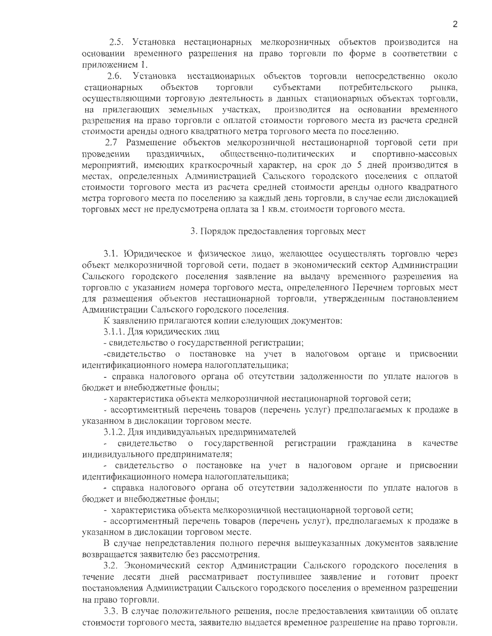2.5. Установка нестационарных мелкорозничных объектов производится на основании временного разрешения на право торговли по форме в соответствии с приложением 1.

 $2.6.$ Установка нестационарных объектов торговли непосредственно около субъектами потребительского стационарных объектов ТОРГОВЛИ рынка, осуществляющими торговую деятельность в данных стационарных объектах торговли, на прилегающих земельных участках, производится на основании временного разрешения на право торговли с оплатой стоимости торгового места из расчета средней стоимости аренды одного квадратного метра торгового места по поселению.

2.7 Размещение объектов мелкорозничной нестационарной торговой сети при спортивно-массовых проведении праздничных, общественно-политических  $\mathbf{M}$ мероприятий, имеющих краткосрочный характер, на срок до 5 дней производится в местах, определенных Администрацией Сальского городского поселения с оплатой стоимости торгового места из расчета средней стоимости аренды одного квадратного метра торгового места по поселению за каждый день торговли, в случае если дислокацией торговых мест не предусмотрена оплата за 1 кв.м. стоимости торгового места.

3. Порядок предоставления торговых мест

3.1. Юридическое и физическое лицо, желающее осуществлять торговлю через объект мелкорозничной торговой сети, подает в экономический сектор Администрации Сальского городского поселения заявление на выдачу временного разрешения на торговлю с указанием номера торгового места, определенного Перечнем торговых мест для размещения объектов нестационарной торговли, утвержденным постановлением Администрации Сальского городского поселения.

К заявлению прилагаются копии следующих документов:

3.1.1. Для юридических лиц

- свидетельство о государственной регистрации;

-свидетельство о постановке на учет в налоговом органе и присвоении идентификационного номера налогоплательщика;

- справка налогового органа об отсутствии задолженности по уплате налогов в бюджет и внебюджетные фонды;

- характеристика объекта мелкорозничной нестационарной торговой сети;

- ассортиментный перечень товаров (перечень услуг) предполагаемых к продаже в указанном в дислокации торговом месте.

3.1.2. Для индивидуальных предпринимателей

- свидетельство о государственной регистрации гражданина качестве  $\mathbf{B}$ индивидуального предпринимателя;

- свидетельство о постановке на учет в налоговом органе и присвоении идентификационного номера налогоплательщика;

- справка налогового органа об отсутствии задолженности по уплате налогов в бюджет и внебюджетные фонды;

- характеристика объекта мелкорозничной нестационарной торговой сети;

- ассортиментный перечень товаров (перечень услуг), предполагаемых к продаже в указанном в дислокации торговом месте.

В случае непредставления полного перечня вышеуказанных документов заявление возвращается заявителю без рассмотрения.

3.2. Экономический сектор Администрации Сальского городского поселения в течение десяти дней рассматривает поступившее заявление и готовит проект постановления Администрации Сальского городского поселения о временном разрешении на право торговли.

3.3. В случае положительного решения, после предоставления квитанции об оплате стоимости торгового места, заявителю выдается временное разрешение на право торговли.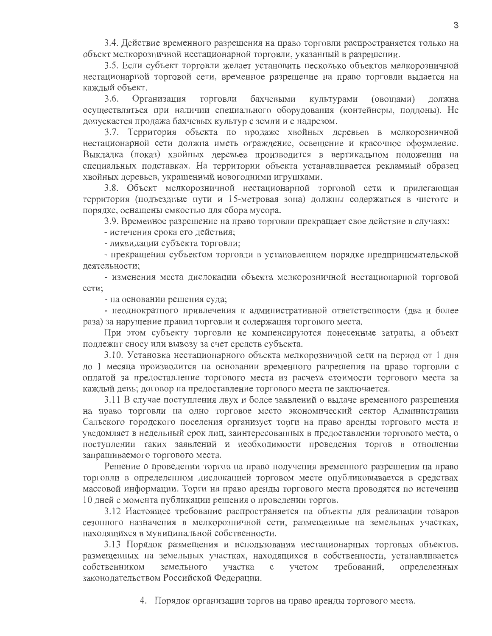3.4. Действие временного разрешения на право торговли распространяется только на объект мелкорозничной нестационарной торговли, указанный в разрешении.

3.5. Если субъект торговли желает установить несколько объектов мелкорозничной нестационарной торговой сети, временное разрешение на право торговли выдается на каждый объект.

 $3.6.$ Организация ТОРГОВЛИ бахчевыми культурами (овощами) должна осуществляться при наличии специального оборудования (контейнеры, поддоны). Не допускается продажа бахчевых культур с земли и с надрезом.

3.7. Территория объекта по продаже хвойных деревьев в мелкорозничной нестационарной сети должна иметь ограждение, освещение и красочное оформление. Выкладка (показ) хвойных деревьев производится в вертикальном положении на специальных подставках. На территории объекта устанавливается рекламный образец хвойных деревьев, украшенный новогодними игрушками.

3.8. Объект мелкорозничной нестационарной торговой сети и прилегающая территория (подъездные пути и 15-метровая зона) должны содержаться в чистоте и порядке, оснащены емкостью для сбора мусора.

3.9. Временное разрешение на право торговли прекращает свое действие в случаях:

- истечения срока его действия;

- ликвидации субъекта торговли;

- прекращения субъектом торговли в установленном порядке предпринимательской деятельности;

- изменения места дислокации объекта мелкорозничной нестационарной торговой сети:

- на основании решения суда;

- неоднократного привлечения к административной ответственности (два и более раза) за нарушение правил торговли и содержания торгового места.

При этом субъекту торговли не компенсируются понесенные затраты, а объект подлежит сносу или вывозу за счет средств субъекта.

3.10. Установка нестационарного объекта мелкорозничной сети на период от 1 дня до 1 месяца производится на основании временного разрешения на право торговли с оплатой за предоставление торгового места из расчета стоимости торгового места за каждый день; договор на предоставление торгового места не заключается.

3.11 В случае поступления двух и более заявлений о выдаче временного разрешения на право торговли на одно торговое место экономический сектор Администрации Сальского городского поселения организует торги на право аренды торгового места и уведомляет в недельный срок лиц, заинтересованных в предоставлении торгового места, о поступлении таких заявлений и необходимости проведения торгов в отношении запрашиваемого торгового места.

Решение о проведении торгов на право получения временного разрешения на право торговли в определенном дислокацией торговом месте опубликовывается в средствах массовой информации. Торги на право аренды торгового места проводятся по истечении 10 дней с момента публикации решения о проведении торгов.

3.12 Настоящее требование распространяется на объекты для реализации товаров сезонного назначения в мелкорозничной сети, размещенные на земельных участках, находящихся в муниципальной собственности.

3.13 Порядок размещения и использования нестационарных торговых объектов, размещенных на земельных участках, находящихся в собственности, устанавливается земельного требований, собственником участка  $\mathbf C$ учетом определенных законодательством Российской Федерации.

4. Порядок организации торгов на право аренды торгового места.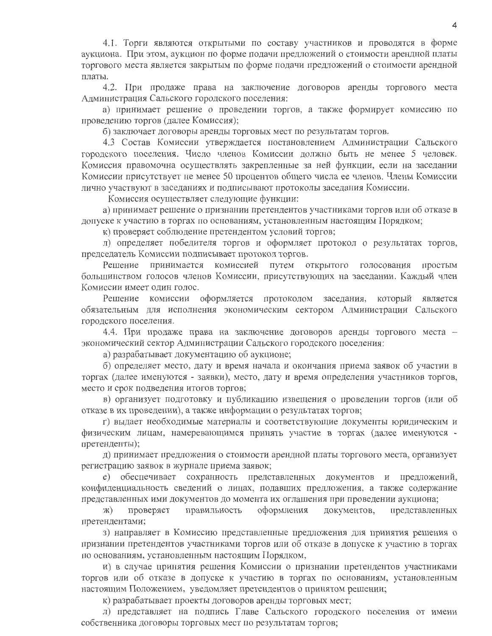4.1. Торги являются открытыми по составу участников и проводятся в форме аукциона. При этом, аукцион по форме подачи предложений о стоимости арендной платы торгового места является закрытым по форме подачи предложений о стоимости арендной платы.

4.2. При продаже права на заключение договоров аренды торгового места Администрация Сальского городского поселения:

а) принимает решение о проведении торгов, а также формирует комиссию по проведению торгов (далее Комиссия);

б) заключает договоры аренды торговых мест по результатам торгов.

4.3 Состав Комиссии утверждается постановлением Администрации Сальского городского поселения. Число членов Комиссии должно быть не менее 5 человек. Комиссия правомочна осуществлять закрепленные за ней функции, если на заседании Комиссии присутствует не менее 50 процентов общего числа ее членов. Члены Комиссии лично участвуют в заседаниях и подписывают протоколы заседания Комиссии.

Комиссия осуществляет следующие функции:

а) принимает решение о признании претендентов участниками торгов или об отказе в допуске к участию в торгах по основаниям, установленным настоящим Порядком;

к) проверяет соблюдение претендентом условий торгов;

л) определяет победителя торгов и оформляет протокол о результатах торгов, председатель Комиссии подписывает протокол торгов.

Решение принимается комиссией путем открытого голосования простым большинством голосов членов Комиссии, присутствующих на заседании. Каждый член Комиссии имеет один голос.

Решение комиссии оформляется протоколом заседания, который является обязательным для исполнения экономическим сектором Администрации Сальского городского поселения.

4.4. При продаже права на заключение договоров аренды торгового места экономический сектор Администрации Сальского городского поселения:

а) разрабатывает документацию об аукционе;

б) определяет место, дату и время начала и окончания приема заявок об участии в торгах (далее именуются - заявки), место, дату и время определения участников торгов, место и срок подведения итогов торгов;

в) организует подготовку и публикацию извещения о проведении торгов (или об отказе в их проведении), а также информации о результатах торгов;

г) выдает необходимые материалы и соответствующие документы юридическим и физическим лицам, намеревающимся принять участие в торгах (далее именуются претенденты);

д) принимает предложения о стоимости арендной платы торгового места, организует регистрацию заявок в журнале приема заявок;

е) обеспечивает сохранность представленных документов и предложений, конфиденциальность сведений о лицах, подавших предложения, а также содержание представленных ими документов до момента их оглашения при проведении аукциона;

правильность оформления документов, представленных проверяет Ж) претендентами;

з) направляет в Комиссию представленные предложения для принятия решения о признании претендентов участниками торгов или об отказе в допуске к участию в торгах по основаниям, установленным настоящим Порядком,

и) в случае принятия решения Комиссии о признании претендентов участниками торгов или об отказе в допуске к участию в торгах по основаниям, установленным настоящим Положением, уведомляет претендентов о принятом решении;

к) разрабатывает проекты договоров аренды торговых мест;

л) представляет на подпись Главе Сальского городского поселения от имени собственника договоры торговых мест по результатам торгов;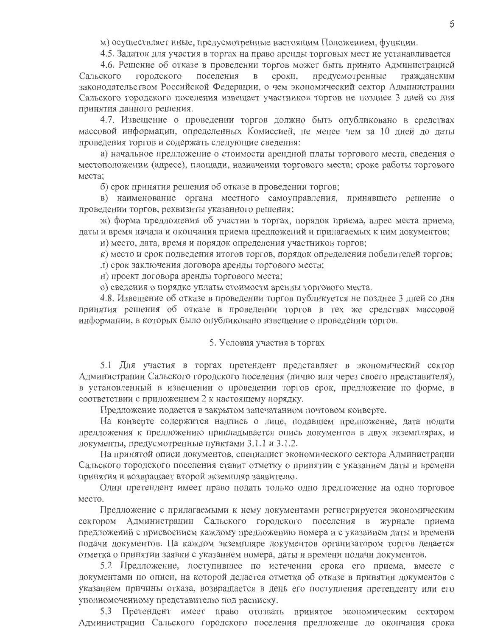м) осуществляет иные, предусмотренные настоящим Положением, функции.

4.5. Задаток для участия в торгах на право аренды торговых мест не устанавливается

4.6. Решение об отказе в проведении торгов может быть принято Администрацией предусмотренные Сальского городского поселения  $\, {\bf B}$ сроки, гражданским законодательством Российской Федерации, о чем экономический сектор Администрации Сальского городского поселения извещает участников торгов не позднее 3 дней со дня принятия данного решения.

4.7. Извещение о проведении торгов должно быть опубликовано в средствах массовой информации, определенных Комиссией, не менее чем за 10 дней до даты проведения торгов и содержать следующие сведения:

а) начальное предложение о стоимости арендной платы торгового места, сведения о местоположении (адресе), площади, назначении торгового места; сроке работы торгового места:

б) срок принятия решения об отказе в проведении торгов;

в) наименование органа местного самоуправления, принявшего решение о проведении торгов, реквизиты указанного решения;

ж) форма предложения об участии в торгах, порядок приема, адрес места приема, даты и время начала и окончания приема предложений и прилагаемых к ним документов;

и) место, дата, время и порядок определения участников торгов;

к) место и срок подведения итогов торгов, порядок определения победителей торгов;

л) срок заключения договора аренды торгового места;

н) проект договора аренды торгового места;

о) сведения о порядке уплаты стоимости аренды торгового места.

4.8. Извещение об отказе в проведении торгов публикуется не позднее 3 дней со дня принятия решения об отказе в проведении торгов в тех же средствах массовой информации, в которых было опубликовано извещение о проведении торгов.

### 5. Условия участия в торгах

5.1 Для участия в торгах претендент представляет в экономический сектор Администрации Сальского городского поселения (лично или через своего представителя), в установленный в извещении о проведении торгов срок, предложение по форме, в соответствии с приложением 2 к настоящему порядку.

Предложение подается в закрытом запечатанном почтовом конверте.

На конверте содержится надпись о лице, подавшем предложение, дата подати предложения к предложению прикладывается опись документов в двух экземплярах, и документы, предусмотренные пунктами 3.1.1 и 3.1.2.

На принятой описи документов, специалист экономического сектора Администрации Сальского городского поселения ставит отметку о принятии с указанием даты и времени принятия и возвращает второй экземпляр заявителю.

Один претендент имеет право подать только одно предложение на одно торговое место.

Предложение с прилагаемыми к нему документами регистрируется экономическим сектором Администрации Сальского городского поселения в журнале приема предложений с присвоением каждому предложению номера и с указанием даты и времени подачи документов. На каждом экземпляре документов организатором торгов делается отметка о принятии заявки с указанием номера, даты и времени подачи документов.

5.2 Предложение, поступившее по истечении срока его приема, вместе с документами по описи, на которой делается отметка об отказе в принятии документов с указанием причины отказа, возвращается в день его поступления претенденту или его уполномоченному представителю под расписку.

5.3 Претендент имеет право отозвать принятое экономическим сектором Администрации Сальского городского поселения предложение до окончания срока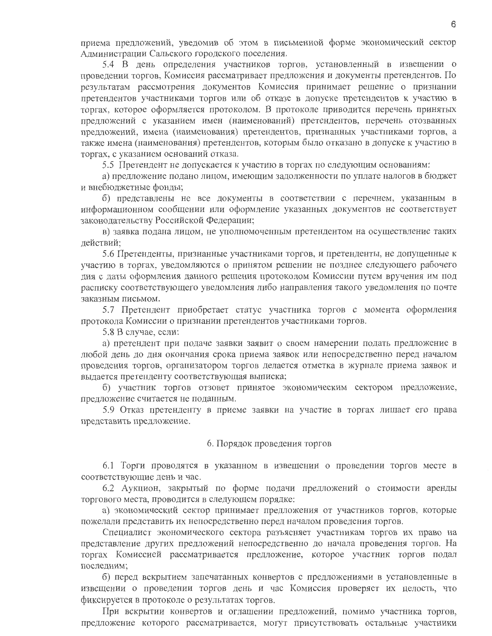приема предложений, уведомив об этом в письменной форме экономический сектор Администрации Сальского городского поселения.

5.4 В день определения участников торгов, установленный в извещении о проведении торгов, Комиссия рассматривает предложения и документы претендентов. По результатам рассмотрения документов Комиссия принимает решение о признании претендентов участниками торгов или об отказе в допуске претендентов к участию в торгах, которое оформляется протоколом. В протоколе приводится перечень принятых предложений с указанием имен (наименований) претендентов, перечень отозванных предложений, имена (наименования) претендентов, признанных участниками торгов, а также имена (наименования) претендентов, которым было отказано в допуске к участию в торгах, с указанием оснований отказа.

5.5 Претендент не допускается к участию в торгах по следующим основаниям:

а) предложение подано лицом, имеющим задолженности по уплате налогов в бюджет и внебюджетные фонды;

б) представлены не все документы в соответствии с перечнем, указанным в информационном сообщении или оформление указанных документов не соответствует законодательству Российской Федерации;

в) заявка подана лицом, не уполномоченным претендентом на осуществление таких действий:

5.6 Претенденты, признанные участниками торгов, и претенденты, не допущенные к участию в торгах, уведомляются о принятом решении не позднее следующего рабочего дня с даты оформления данного решения протоколом Комиссии путем вручения им под расписку соответствующего уведомления либо направления такого уведомления по почте заказным письмом.

5.7 Претендент приобретает статус участника торгов с момента оформления протокола Комиссии о признании претендентов участниками торгов.

5.8 В случае, если:

а) претендент при подаче заявки заявит о своем намерении подать предложение в любой день до дня окончания срока приема заявок или непосредственно перед началом проведения торгов, организатором торгов делается отметка в журнале приема заявок и выдается претенденту соответствующая выписка;

б) участник торгов отзовет принятое экономическим сектором предложение, предложение считается не поданным.

5.9 Отказ претенденту в приеме заявки на участие в торгах лишает его права представить предложение.

#### 6. Порядок проведения торгов

6.1 Торги проводятся в указанном в извещении о проведении торгов месте в соответствующие день и час.

6.2 Аукцион, закрытый по форме подачи предложений о стоимости аренды торгового места, проводится в следующем порядке:

а) экономический сектор принимает предложения от участников торгов, которые пожелали представить их непосредственно перед началом проведения торгов.

Специалист экономического сектора разъясняет участникам торгов их право на представление других предложений непосредственно до начала проведения торгов. На торгах Комиссией рассматривается предложение, которое участник торгов подал последним;

б) перед вскрытием запечатанных конвертов с предложениями в установленные в извещении о проведении торгов день и час Комиссия проверяет их целость, что фиксируется в протоколе о результатах торгов.

При вскрытии конвертов и оглашении предложений, помимо участника торгов, предложение которого рассматривается, могут присутствовать остальные участники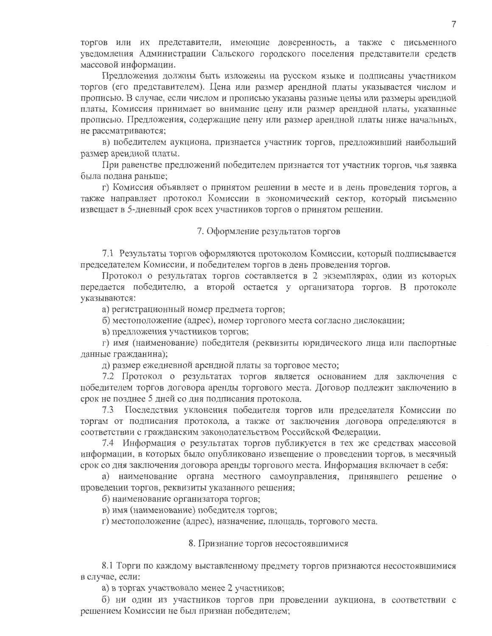торгов или их представители, имеющие доверенность, а также с письменного уведомления Администрации Сальского городского поселения представители средств массовой информации.

Предложения должны быть изложены на русском языке и подписаны участником торгов (его представителем). Цена или размер арендной платы указывается числом и прописью. В случае, если числом и прописью указаны разные цены или размеры арендной платы. Комиссия принимает во внимание цену или размер арендной платы, указанные прописью. Предложения, содержащие цену или размер арендной платы ниже начальных, не рассматриваются;

в) победителем аукциона, признается участник торгов, предложивший наибольший размер арендной платы.

При равенстве предложений победителем признается тот участник торгов, чья заявка была подана раньше;

г) Комиссия объявляет о принятом решении в месте и в день проведения торгов, а также направляет протокол Комиссии в экономический сектор, который письменно извещает в 5-дневный срок всех участников торгов о принятом решении.

# 7. Оформление результатов торгов

7.1 Результаты торгов оформляются протоколом Комиссии, который подписывается председателем Комиссии, и победителем торгов в день проведения торгов.

Протокол о результатах торгов составляется в 2 экземплярах, один из которых передается победителю, а второй остается у организатора торгов. В протоколе указываются:

а) регистрационный номер предмета торгов;

б) местоположение (адрес), номер торгового места согласно дислокации;

в) предложения участников торгов;

г) имя (наименование) победителя (реквизиты юридического лица или паспортные данные гражданина);

д) размер ежедневной арендной платы за торговое место;

7.2 Протокол о результатах торгов является основанием для заключения с победителем торгов договора аренды торгового места. Договор подлежит заключению в срок не позднее 5 дней со дня подписания протокола.

7.3 Последствия уклонения победителя торгов или председателя Комиссии по торгам от подписания протокола, а также от заключения договора определяются в соответствии с гражданским законодательством Российской Федерации.

7.4 Информация о результатах торгов публикуется в тех же средствах массовой информации, в которых было опубликовано извещение о проведении торгов, в месячный срок со дня заключения договора аренды торгового места. Информация включает в себя:

а) наименование органа местного самоуправления, принявшего решение о проведении торгов, реквизиты указанного решения;

б) наименование организатора торгов;

в) имя (наименование) победителя торгов;

г) местоположение (адрес), назначение, площадь, торгового места.

# 8. Признание торгов несостоявшимися

8.1 Торги по каждому выставленному предмету торгов признаются несостоявшимися в случае, если:

а) в торгах участвовало менее 2 участников;

б) ни один из участников торгов при проведении аукциона, в соответствии с решением Комиссии не был признан победителем;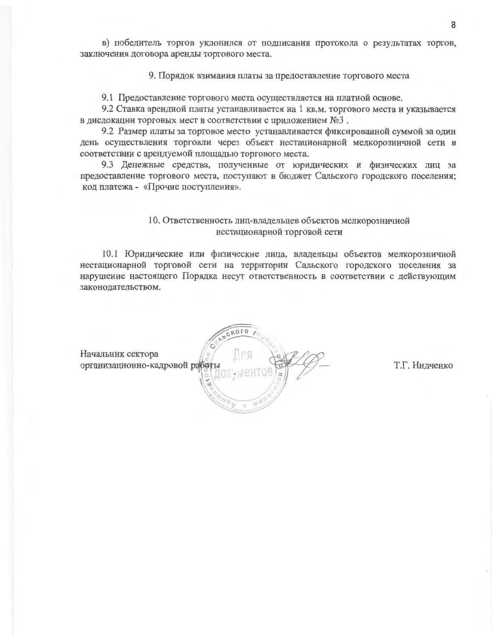в) победитель торгов уклонился от подписания протокола о результатах торгов, заключения договора аренды торгового места.

9. Порядок взимания платы за предоставление торгового места

9.1 Предоставление торгового места осуществляется на платной основе.

9.2 Ставка арендной платы устанавливается на 1 кв.м. торгового места и указывается в дислокации торговых мест в соответствии с приложением №3.

9.2 Размер платы за торговое место устанавливается фиксированной суммой за один день осуществления торговли через объект нестационарной мелкорозничной сети в соответствии с арендуемой площадью торгового места.

9.3 Денежные средства, полученные от юридических и физических лиц за предоставление торгового места, поступают в бюджет Сальского городского поселения; код платежа - «Прочие поступления».

# 10. Ответственность лиц-владельцев объектов мелкорозничной нестационарной торговой сети

10.1 Юридические или физические лица, владельцы объектов мелкорозничной нестационарной торговой сети на территории Сальского городского поселения за нарушение настоящего Порядка несут ответственность в соответствии с действующим законодательством.



Т.Г. Нидченко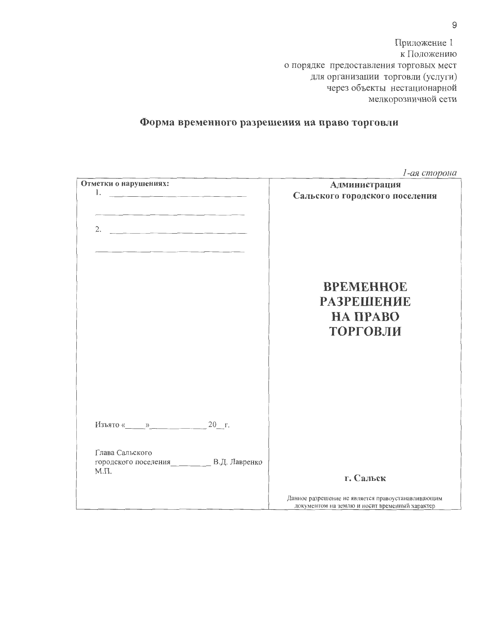Приложение 1 к Положению о порядке предоставления торговых мест для организации торговли (услуги) через объекты нестационарной мелкорозничной сети

# Форма временного разрешения на право торговли

|                                                                                                                                                                                                                                                                                                                                                                                                                                                                          | 1-ая сторона                                                                                         |
|--------------------------------------------------------------------------------------------------------------------------------------------------------------------------------------------------------------------------------------------------------------------------------------------------------------------------------------------------------------------------------------------------------------------------------------------------------------------------|------------------------------------------------------------------------------------------------------|
| Отметки о нарушениях:                                                                                                                                                                                                                                                                                                                                                                                                                                                    | Администрация                                                                                        |
| 1. $\overline{\phantom{a}}$ $\overline{\phantom{a}}$ $\overline{\phantom{a}}$ $\overline{\phantom{a}}$ $\overline{\phantom{a}}$ $\overline{\phantom{a}}$ $\overline{\phantom{a}}$ $\overline{\phantom{a}}$ $\overline{\phantom{a}}$ $\overline{\phantom{a}}$ $\overline{\phantom{a}}$ $\overline{\phantom{a}}$ $\overline{\phantom{a}}$ $\overline{\phantom{a}}$ $\overline{\phantom{a}}$ $\overline{\phantom{a}}$ $\overline{\phantom{a}}$ $\overline{\phantom{a}}$ $\$ | Сальского городского поселения                                                                       |
|                                                                                                                                                                                                                                                                                                                                                                                                                                                                          |                                                                                                      |
|                                                                                                                                                                                                                                                                                                                                                                                                                                                                          | <b>BPEMEHHOE</b><br><b>РАЗРЕШЕНИЕ</b><br>НА ПРАВО<br><b>ТОРГОВЛИ</b>                                 |
| Изъято « $\qquad \qquad$ »<br>Глава Сальского<br>городского поселения__________ В.Д. Лавренко                                                                                                                                                                                                                                                                                                                                                                            |                                                                                                      |
| $M.\Pi.$                                                                                                                                                                                                                                                                                                                                                                                                                                                                 | г. Сальск                                                                                            |
|                                                                                                                                                                                                                                                                                                                                                                                                                                                                          | Данное разрешение не является правоустанавливающим<br>документом на землю и носит временный характер |

 $\mathsf g$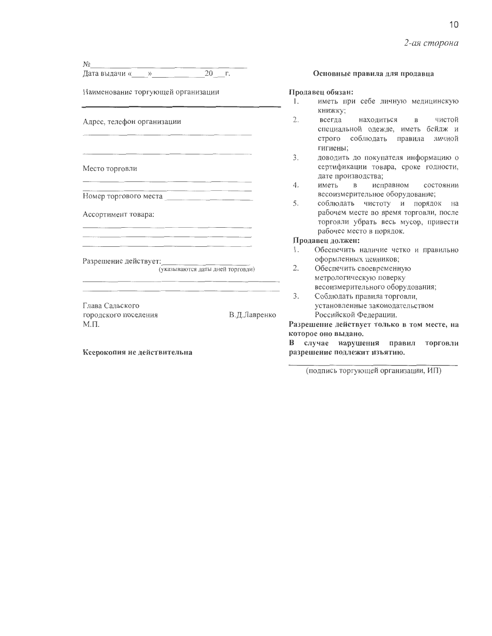2-ая сторона

| Nρ                                                                                                                    |              |                |                                    |
|-----------------------------------------------------------------------------------------------------------------------|--------------|----------------|------------------------------------|
|                                                                                                                       | $20 - r$ .   |                | Основные г                         |
| Наименование торгующей организации                                                                                    |              |                | Продавец обязан:                   |
|                                                                                                                       |              | 1.             | иметь при                          |
| Адрес, телефон организации                                                                                            |              |                | книжку;                            |
|                                                                                                                       |              | 2.             | всегда                             |
|                                                                                                                       |              |                | специально                         |
|                                                                                                                       |              |                | строго со                          |
|                                                                                                                       |              |                | гигиены;                           |
|                                                                                                                       |              | 3.             | ДОВОДИТЬ Д                         |
| Место торговли                                                                                                        |              |                | сертифика                          |
|                                                                                                                       |              | 4.             | дате произ<br>иметь в              |
| <u> 1980 - Jan Sarajević, politički politički politički politički politički politički politički politički politič</u> |              |                | весоизмери                         |
|                                                                                                                       |              | 5.             | соблюдать                          |
| Ассортимент товара:                                                                                                   |              |                | рабочем м                          |
|                                                                                                                       |              |                | торговли у                         |
|                                                                                                                       |              |                | рабочее ме                         |
|                                                                                                                       |              |                | Продавец должен                    |
|                                                                                                                       |              | 1.             | Обеспечить                         |
| Разрешение действует: по последните последните по-                                                                    |              |                | оформленни                         |
| (указываются даты дней торговли)                                                                                      |              | 2.             | Обеспечить                         |
|                                                                                                                       |              |                | метрологич                         |
|                                                                                                                       |              |                | весоизмери                         |
|                                                                                                                       |              | 3 <sub>1</sub> | Соблюдать                          |
| Глава Сальского                                                                                                       |              |                | установлен                         |
| городского поселения                                                                                                  | В.Д.Лавренко |                | Российской                         |
| $M.\Pi.$                                                                                                              |              |                | Разрешение дейст                   |
|                                                                                                                       |              |                | которое оно выдаю<br>В случае нару |
|                                                                                                                       |              |                |                                    |

Ксерокопия не действительна

#### правила для продавца

- себе личную медицинскую
- чистой находиться  $\, {\bf B}$ ой одежде, иметь бейдж и облюдать правила личной
- до покупателя информацию о ции товара, сроке годности, водства;
- $\overline{B}$ исправном состоянии ительное оборудование;
- чистоту и порядок на есте во время торговли, после убрать весь мусор, привести есто в порядок.

### н:

- наличие четко и правильно ых ценников;
- своевременную ескую поверку тельного оборудования;
- правила торговли, ные законодательством Федерации.

вует только в том месте, на нο.

случае нарушения правил торговли разрешение подлежит изъятию.

(подпись торгующей организации, ИП)